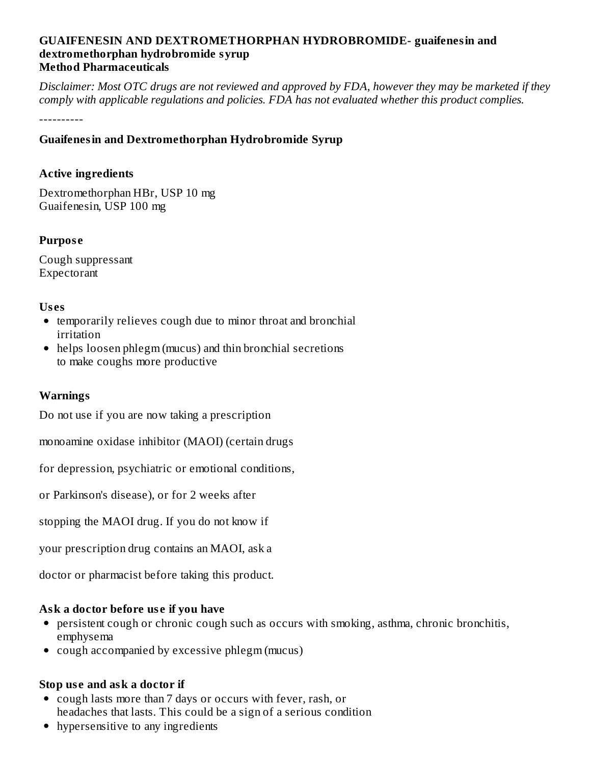### **GUAIFENESIN AND DEXTROMETHORPHAN HYDROBROMIDE- guaifenesin and dextromethorphan hydrobromide syrup Method Pharmaceuticals**

Disclaimer: Most OTC drugs are not reviewed and approved by FDA, however they may be marketed if they *comply with applicable regulations and policies. FDA has not evaluated whether this product complies.*

----------

# **Guaifenesin and Dextromethorphan Hydrobromide Syrup**

### **Active ingredients**

Dextromethorphan HBr, USP 10 mg Guaifenesin, USP 100 mg

### **Purpos e**

Cough suppressant Expectorant

### **Us es**

- temporarily relieves cough due to minor throat and bronchial irritation
- helps loosen phlegm (mucus) and thin bronchial secretions to make coughs more productive

# **Warnings**

Do not use if you are now taking a prescription

monoamine oxidase inhibitor (MAOI) (certain drugs

for depression, psychiatric or emotional conditions,

or Parkinson's disease), or for 2 weeks after

stopping the MAOI drug. If you do not know if

your prescription drug contains an MAOI, ask a

doctor or pharmacist before taking this product.

# **Ask a doctor before us e if you have**

- persistent cough or chronic cough such as occurs with smoking, asthma, chronic bronchitis, emphysema
- cough accompanied by excessive phlegm (mucus)

# **Stop us e and ask a doctor if**

- cough lasts more than 7 days or occurs with fever, rash, or headaches that lasts. This could be a sign of a serious condition
- hypersensitive to any ingredients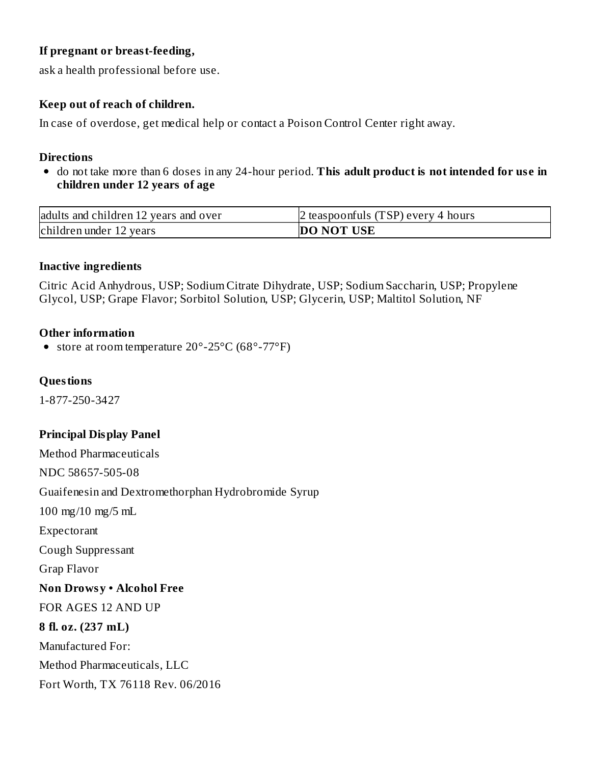# **If pregnant or breast-feeding,**

ask a health professional before use.

# **Keep out of reach of children.**

In case of overdose, get medical help or contact a Poison Control Center right away.

### **Directions**

do not take more than 6 doses in any 24-hour period. **This adult product is not intended for us e in children under 12 years of age**

| adults and children 12 years and over | 2 teaspoonfuls (TSP) every 4 hours |  |  |
|---------------------------------------|------------------------------------|--|--|
| children under 12 years               | <b>DO NOT USE</b>                  |  |  |

### **Inactive ingredients**

Citric Acid Anhydrous, USP; Sodium Citrate Dihydrate, USP; Sodium Saccharin, USP; Propylene Glycol, USP; Grape Flavor; Sorbitol Solution, USP; Glycerin, USP; Maltitol Solution, NF

# **Other information**

• store at room temperature 20°-25°C (68°-77°F)

### **Questions**

1-877-250-3427

# **Principal Display Panel**

Method Pharmaceuticals NDC 58657-505-08 Guaifenesin and Dextromethorphan Hydrobromide Syrup 100 mg/10 mg/5 mL Expectorant Cough Suppressant Grap Flavor **Non Drowsy • Alcohol Free** FOR AGES 12 AND UP **8 fl. oz. (237 mL)** Manufactured For: Method Pharmaceuticals, LLC Fort Worth, TX 76118 Rev. 06/2016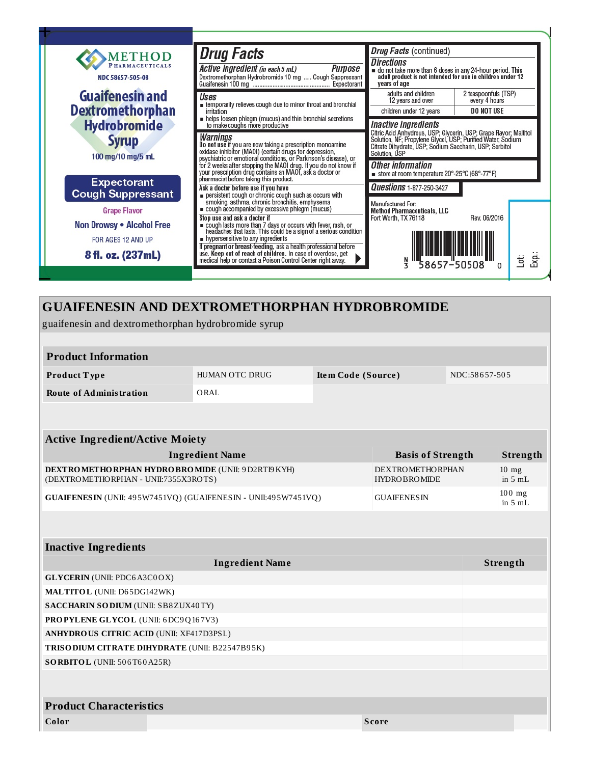

# **GUAIFENESIN AND DEXTROMETHORPHAN HYDROBROMIDE**

guaifenesin and dextromethorphan hydrobromide syrup

| <b>Product Information</b>                                                                                                                 |                |                    |  |                      |               |  |  |
|--------------------------------------------------------------------------------------------------------------------------------------------|----------------|--------------------|--|----------------------|---------------|--|--|
| Product Type                                                                                                                               | HUMAN OTC DRUG | Item Code (Source) |  |                      | NDC:58657-505 |  |  |
| <b>Route of Administration</b>                                                                                                             | ORAL           |                    |  |                      |               |  |  |
|                                                                                                                                            |                |                    |  |                      |               |  |  |
|                                                                                                                                            |                |                    |  |                      |               |  |  |
| <b>Active Ingredient/Active Moiety</b>                                                                                                     |                |                    |  |                      |               |  |  |
| <b>Ingredient Name</b><br><b>Basis of Strength</b>                                                                                         |                |                    |  | <b>Strength</b>      |               |  |  |
| DEXTROMETHORPHAN HYDROBROMIDE (UNII: 9D2RTI9KYH)<br><b>DEXTROMETHORPHAN</b><br>(DEXTROMETHORPHAN - UNII:7355X3ROTS)<br><b>HYDROBROMIDE</b> |                |                    |  | $10$ mg<br>in $5mL$  |               |  |  |
| GUAIFENESIN (UNII: 495W7451VQ) (GUAIFENESIN - UNII:495W7451VQ)<br><b>GUAIFENESIN</b>                                                       |                |                    |  | $100$ mg<br>in $5mL$ |               |  |  |
|                                                                                                                                            |                |                    |  |                      |               |  |  |
| <b>Inactive Ingredients</b>                                                                                                                |                |                    |  |                      |               |  |  |
| <b>Ingredient Name</b>                                                                                                                     |                |                    |  |                      | Strength      |  |  |
| <b>GLYCERIN</b> (UNII: PDC6A3C0OX)                                                                                                         |                |                    |  |                      |               |  |  |
| MALTITOL (UNII: D65DG142WK)                                                                                                                |                |                    |  |                      |               |  |  |
| <b>SACCHARIN SO DIUM (UNII: SB8ZUX40TY)</b>                                                                                                |                |                    |  |                      |               |  |  |
| PROPYLENE GLYCOL (UNII: 6DC9Q167V3)                                                                                                        |                |                    |  |                      |               |  |  |
| <b>ANHYDROUS CITRIC ACID (UNII: XF417D3PSL)</b>                                                                                            |                |                    |  |                      |               |  |  |
| TRISO DIUM CITRATE DIHYDRATE (UNII: B22547B95K)                                                                                            |                |                    |  |                      |               |  |  |
| <b>SORBITOL</b> (UNII: 506T60A25R)                                                                                                         |                |                    |  |                      |               |  |  |
|                                                                                                                                            |                |                    |  |                      |               |  |  |
| <b>Product Characteristics</b>                                                                                                             |                |                    |  |                      |               |  |  |

| Color | <b>Score</b> |
|-------|--------------|
|       |              |